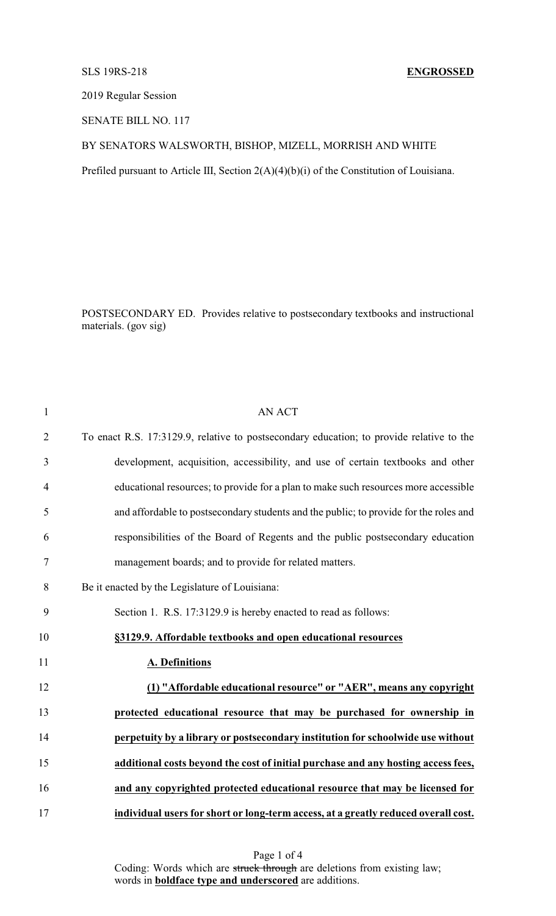## SLS 19RS-218 **ENGROSSED**

2019 Regular Session

SENATE BILL NO. 117

## BY SENATORS WALSWORTH, BISHOP, MIZELL, MORRISH AND WHITE

Prefiled pursuant to Article III, Section 2(A)(4)(b)(i) of the Constitution of Louisiana.

POSTSECONDARY ED. Provides relative to postsecondary textbooks and instructional materials. (gov sig)

| $\mathbf{1}$   | <b>AN ACT</b>                                                                            |
|----------------|------------------------------------------------------------------------------------------|
| $\overline{2}$ | To enact R.S. 17:3129.9, relative to postsecondary education; to provide relative to the |
| 3              | development, acquisition, accessibility, and use of certain textbooks and other          |
| $\overline{4}$ | educational resources; to provide for a plan to make such resources more accessible      |
| 5              | and affordable to postsecondary students and the public; to provide for the roles and    |
| 6              | responsibilities of the Board of Regents and the public postsecondary education          |
| 7              | management boards; and to provide for related matters.                                   |
| 8              | Be it enacted by the Legislature of Louisiana:                                           |
| 9              | Section 1. R.S. 17:3129.9 is hereby enacted to read as follows:                          |
| 10             | §3129.9. Affordable textbooks and open educational resources                             |
| 11             | A. Definitions                                                                           |
| 12             | (1) "Affordable educational resource" or "AER", means any copyright                      |
| 13             | protected educational resource that may be purchased for ownership in                    |
| 14             | perpetuity by a library or postsecondary institution for schoolwide use without          |
| 15             | additional costs beyond the cost of initial purchase and any hosting access fees,        |
| 16             | and any copyrighted protected educational resource that may be licensed for              |
| 17             | individual users for short or long-term access, at a greatly reduced overall cost.       |

Page 1 of 4 Coding: Words which are struck through are deletions from existing law; words in **boldface type and underscored** are additions.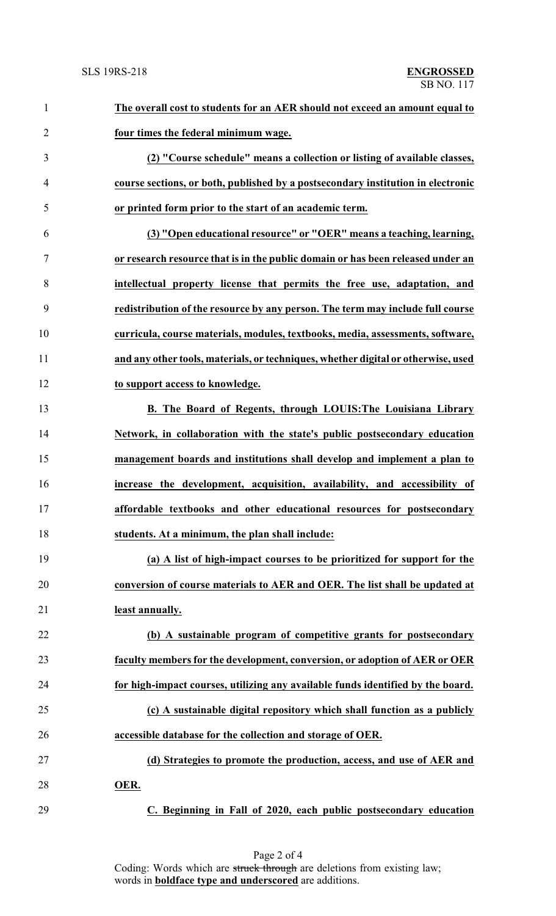| $\mathbf{1}$   | The overall cost to students for an AER should not exceed an amount equal to      |
|----------------|-----------------------------------------------------------------------------------|
| $\overline{2}$ | four times the federal minimum wage.                                              |
| 3              | (2) "Course schedule" means a collection or listing of available classes,         |
| 4              | course sections, or both, published by a postsecondary institution in electronic  |
| 5              | or printed form prior to the start of an academic term.                           |
| 6              | (3) "Open educational resource" or "OER" means a teaching, learning,              |
| $\overline{7}$ | or research resource that is in the public domain or has been released under an   |
| 8              | intellectual property license that permits the free use, adaptation, and          |
| 9              | redistribution of the resource by any person. The term may include full course    |
| 10             | curricula, course materials, modules, textbooks, media, assessments, software,    |
| 11             | and any other tools, materials, or techniques, whether digital or otherwise, used |
| 12             | to support access to knowledge.                                                   |
| 13             | <b>B.</b> The Board of Regents, through LOUIS: The Louisiana Library              |
| 14             | Network, in collaboration with the state's public postsecondary education         |
| 15             | management boards and institutions shall develop and implement a plan to          |
| 16             | increase the development, acquisition, availability, and accessibility of         |
| 17             | affordable textbooks and other educational resources for postsecondary            |
| 18             | students. At a minimum, the plan shall include:                                   |
| 19             | (a) A list of high-impact courses to be prioritized for support for the           |
| 20             | conversion of course materials to AER and OER. The list shall be updated at       |
| 21             | least annually.                                                                   |
| 22             | (b) A sustainable program of competitive grants for postsecondary                 |
| 23             | faculty members for the development, conversion, or adoption of AER or OER        |
| 24             | for high-impact courses, utilizing any available funds identified by the board.   |
| 25             | (c) A sustainable digital repository which shall function as a publicly           |
| 26             | accessible database for the collection and storage of OER.                        |
| 27             | (d) Strategies to promote the production, access, and use of AER and              |
| 28             | OER.                                                                              |
| 29             | C. Beginning in Fall of 2020, each public postsecondary education                 |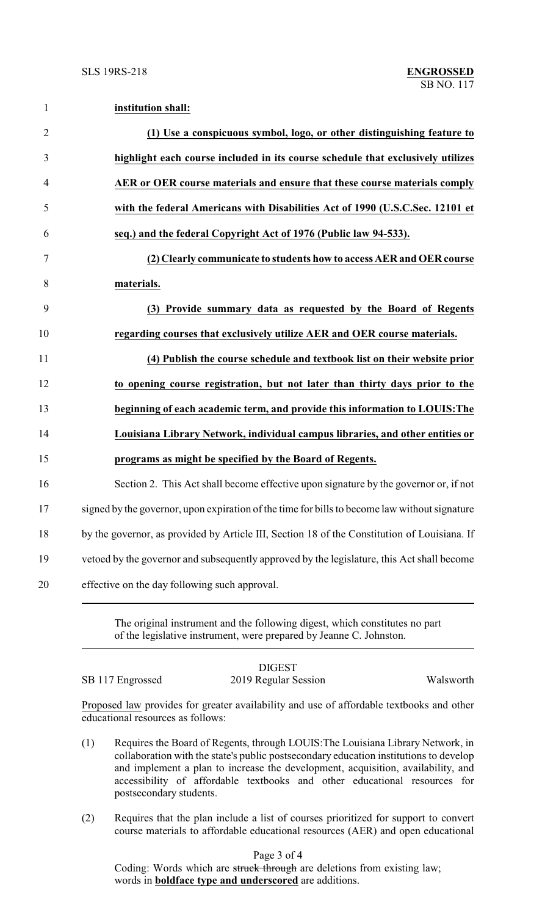1 **institution shall:**

| $\overline{2}$ | (1) Use a conspicuous symbol, logo, or other distinguishing feature to                        |
|----------------|-----------------------------------------------------------------------------------------------|
| 3              | highlight each course included in its course schedule that exclusively utilizes               |
| $\overline{4}$ | AER or OER course materials and ensure that these course materials comply                     |
| 5              | with the federal Americans with Disabilities Act of 1990 (U.S.C.Sec. 12101 et                 |
| 6              | seq.) and the federal Copyright Act of 1976 (Public law 94-533).                              |
| 7              | (2) Clearly communicate to students how to access AER and OER course                          |
| 8              | materials.                                                                                    |
| 9              | (3) Provide summary data as requested by the Board of Regents                                 |
| 10             | regarding courses that exclusively utilize AER and OER course materials.                      |
| 11             | (4) Publish the course schedule and textbook list on their website prior                      |
| 12             | to opening course registration, but not later than thirty days prior to the                   |
| 13             | beginning of each academic term, and provide this information to LOUIS: The                   |
| 14             | Louisiana Library Network, individual campus libraries, and other entities or                 |
| 15             | programs as might be specified by the Board of Regents.                                       |
| 16             | Section 2. This Act shall become effective upon signature by the governor or, if not          |
| 17             | signed by the governor, upon expiration of the time for bills to become law without signature |
| 18             | by the governor, as provided by Article III, Section 18 of the Constitution of Louisiana. If  |
| 19             | vetoed by the governor and subsequently approved by the legislature, this Act shall become    |
| 20             | effective on the day following such approval.                                                 |

The original instrument and the following digest, which constitutes no part of the legislative instrument, were prepared by Jeanne C. Johnston.

SB 117 Engrossed 2019 Regular Session Walsworth

DIGEST

Proposed law provides for greater availability and use of affordable textbooks and other educational resources as follows:

- (1) Requires the Board of Regents, through LOUIS:The Louisiana Library Network, in collaboration with the state's public postsecondary education institutions to develop and implement a plan to increase the development, acquisition, availability, and accessibility of affordable textbooks and other educational resources for postsecondary students.
- (2) Requires that the plan include a list of courses prioritized for support to convert course materials to affordable educational resources (AER) and open educational

Page 3 of 4

Coding: Words which are struck through are deletions from existing law; words in **boldface type and underscored** are additions.